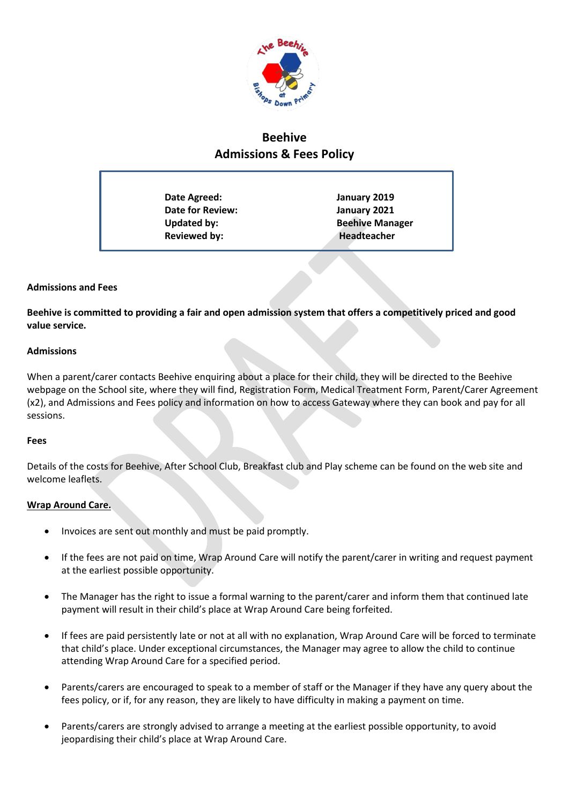

# **Beehive Admissions & Fees Policy**

| Date Agreed:            | January 2019           |
|-------------------------|------------------------|
| <b>Date for Review:</b> | January 2021           |
| <b>Updated by:</b>      | <b>Beehive Manager</b> |
| <b>Reviewed by:</b>     | Headteacher            |
|                         |                        |

## **Admissions and Fees**

**Beehive is committed to providing a fair and open admission system that offers a competitively priced and good value service.** 

#### **Admissions**

When a parent/carer contacts Beehive enquiring about a place for their child, they will be directed to the Beehive webpage on the School site, where they will find, Registration Form, Medical Treatment Form, Parent/Carer Agreement (x2), and Admissions and Fees policy and information on how to access Gateway where they can book and pay for all sessions.

#### **Fees**

Details of the costs for Beehive, After School Club, Breakfast club and Play scheme can be found on the web site and welcome leaflets.

# **Wrap Around Care.**

- Invoices are sent out monthly and must be paid promptly.
- If the fees are not paid on time, Wrap Around Care will notify the parent/carer in writing and request payment at the earliest possible opportunity.
- The Manager has the right to issue a formal warning to the parent/carer and inform them that continued late payment will result in their child's place at Wrap Around Care being forfeited.
- If fees are paid persistently late or not at all with no explanation, Wrap Around Care will be forced to terminate that child's place. Under exceptional circumstances, the Manager may agree to allow the child to continue attending Wrap Around Care for a specified period.
- Parents/carers are encouraged to speak to a member of staff or the Manager if they have any query about the fees policy, or if, for any reason, they are likely to have difficulty in making a payment on time.
- Parents/carers are strongly advised to arrange a meeting at the earliest possible opportunity, to avoid jeopardising their child's place at Wrap Around Care.